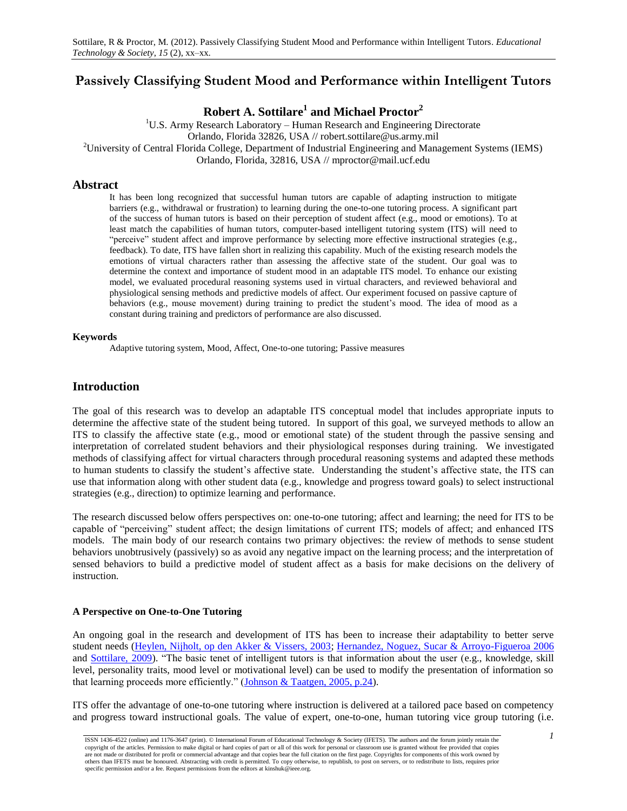# **Passively Classifying Student Mood and Performance within Intelligent Tutors**

**Robert A. Sottilare<sup>1</sup> and Michael Proctor<sup>2</sup>**

 $1^1$ U.S. Army Research Laboratory – Human Research and Engineering Directorate Orlando, Florida 32826, USA // robert.sottilare@us.army.mil <sup>2</sup>University of Central Florida College, Department of Industrial Engineering and Management Systems (IEMS) Orlando, Florida, 32816, USA // mproctor@mail.ucf.edu

## **Abstract**

It has been long recognized that successful human tutors are capable of adapting instruction to mitigate barriers (e.g., withdrawal or frustration) to learning during the one-to-one tutoring process. A significant part of the success of human tutors is based on their perception of student affect (e.g., mood or emotions). To at least match the capabilities of human tutors, computer-based intelligent tutoring system (ITS) will need to "perceive" student affect and improve performance by selecting more effective instructional strategies (e.g., feedback). To date, ITS have fallen short in realizing this capability. Much of the existing research models the emotions of virtual characters rather than assessing the affective state of the student. Our goal was to determine the context and importance of student mood in an adaptable ITS model. To enhance our existing model, we evaluated procedural reasoning systems used in virtual characters, and reviewed behavioral and physiological sensing methods and predictive models of affect. Our experiment focused on passive capture of behaviors (e.g., mouse movement) during training to predict the student"s mood. The idea of mood as a constant during training and predictors of performance are also discussed.

### **Keywords**

Adaptive tutoring system, Mood, Affect, One-to-one tutoring; Passive measures

# **Introduction**

The goal of this research was to develop an adaptable ITS conceptual model that includes appropriate inputs to determine the affective state of the student being tutored. In support of this goal, we surveyed methods to allow an ITS to classify the affective state (e.g., mood or emotional state) of the student through the passive sensing and interpretation of correlated student behaviors and their physiological responses during training. We investigated methods of classifying affect for virtual characters through procedural reasoning systems and adapted these methods to human students to classify the student"s affective state. Understanding the student"s affective state, the ITS can use that information along with other student data (e.g., knowledge and progress toward goals) to select instructional strategies (e.g., direction) to optimize learning and performance.

The research discussed below offers perspectives on: one-to-one tutoring; affect and learning; the need for ITS to be capable of "perceiving" student affect; the design limitations of current ITS; models of affect; and enhanced ITS models. The main body of our research contains two primary objectives: the review of methods to sense student behaviors unobtrusively (passively) so as avoid any negative impact on the learning process; and the interpretation of sensed behaviors to build a predictive model of student affect as a basis for make decisions on the delivery of instruction.

### **A Perspective on One-to-One Tutoring**

An ongoing goal in the research and development of ITS has been to increase their adaptability to better serve student needs [\(Heylen, Nijholt, op den Akker & Vissers, 2003;](#page-12-0) [Hernandez, Noguez, Sucar & Arroyo-Figueroa 2006](#page-12-1) and [Sottilare, 2009\)](#page-13-0). "The basic tenet of intelligent tutors is that information about the user (e.g., knowledge, skill level, personality traits, mood level or motivational level) can be used to modify the presentation of information so that learning proceeds more efficiently." [\(Johnson & Taatgen, 2005, p.24\)](#page-12-2).

ITS offer the advantage of one-to-one tutoring where instruction is delivered at a tailored pace based on competency and progress toward instructional goals. The value of expert, one-to-one, human tutoring vice group tutoring (i.e.

*<sup>1</sup>* ISSN 1436-4522 (online) and 1176-3647 (print). © International Forum of Educational Technology & Society (IFETS). The authors and the forum jointly retain the copyright of the articles. Permission to make digital or hard copies of part or all of this work for personal or classroom use is granted without fee provided that copies are not made or distributed for profit or commercial advantage and that copies bear the full citation on the first page. Copyrights for components of this work owned by others than IFETS must be honoured. Abstracting with credit is permitted. To copy otherwise, to republish, to post on servers, or to redistribute to lists, requires prior specific permission and/or a fee. Request permissions from the editors at kinshuk@ieee.org.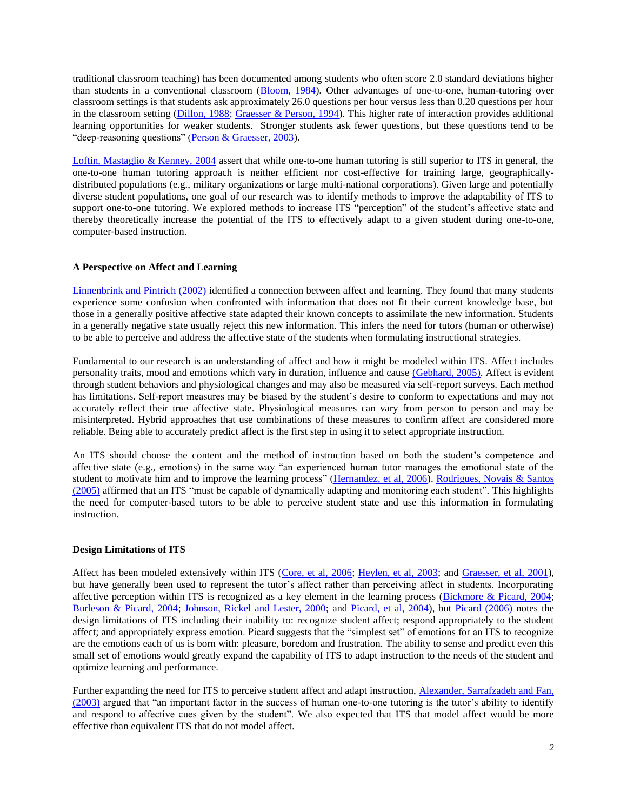traditional classroom teaching) has been documented among students who often score 2.0 standard deviations higher than students in a conventional classroom [\(Bloom, 1984\)](#page-11-0). Other advantages of one-to-one, human-tutoring over classroom settings is that students ask approximately 26.0 questions per hour versus less than 0.20 questions per hour in the classroom setting [\(Dillon, 1988;](#page-12-3) [Graesser & Person, 1994\)](#page-12-4). This higher rate of interaction provides additional learning opportunities for weaker students. Stronger students ask fewer questions, but these questions tend to be "deep-reasoning questions" [\(Person & Graesser, 2003\)](#page-13-1).

[Loftin, Mastaglio & Kenney, 2004](#page-12-5) assert that while one-to-one human tutoring is still superior to ITS in general, the one-to-one human tutoring approach is neither efficient nor cost-effective for training large, geographicallydistributed populations (e.g., military organizations or large multi-national corporations). Given large and potentially diverse student populations, one goal of our research was to identify methods to improve the adaptability of ITS to support one-to-one tutoring. We explored methods to increase ITS "perception" of the student's affective state and thereby theoretically increase the potential of the ITS to effectively adapt to a given student during one-to-one, computer-based instruction.

### **A Perspective on Affect and Learning**

[Linnenbrink and Pintrich \(2002\)](#page-12-6) identified a connection between affect and learning. They found that many students experience some confusion when confronted with information that does not fit their current knowledge base, but those in a generally positive affective state adapted their known concepts to assimilate the new information. Students in a generally negative state usually reject this new information. This infers the need for tutors (human or otherwise) to be able to perceive and address the affective state of the students when formulating instructional strategies.

Fundamental to our research is an understanding of affect and how it might be modeled within ITS. Affect includes personality traits, mood and emotions which vary in duration, influence and cause [\(Gebhard, 2005\).](#page-12-7) Affect is evident through student behaviors and physiological changes and may also be measured via self-report surveys. Each method has limitations. Self-report measures may be biased by the student's desire to conform to expectations and may not accurately reflect their true affective state. Physiological measures can vary from person to person and may be misinterpreted. Hybrid approaches that use combinations of these measures to confirm affect are considered more reliable. Being able to accurately predict affect is the first step in using it to select appropriate instruction.

An ITS should choose the content and the method of instruction based on both the student"s competence and affective state (e.g., emotions) in the same way "an experienced human tutor manages the emotional state of the student to motivate him and to improve the learning process" [\(Hernandez, et al, 2006\)](#page-12-1). [Rodrigues, Novais](#page-13-2) & Santos [\(2005\)](#page-13-2) affirmed that an ITS "must be capable of dynamically adapting and monitoring each student". This highlights the need for computer-based tutors to be able to perceive student state and use this information in formulating instruction.

### **Design Limitations of ITS**

Affect has been modeled extensively within ITS [\(Core, et al, 2006;](#page-11-1) [Heylen, et al, 2003;](#page-12-0) and [Graesser, et al, 2001\)](#page-12-8), but have generally been used to represent the tutor's affect rather than perceiving affect in students. Incorporating affective perception within ITS is recognized as a key element in the learning process [\(Bickmore & Picard, 2004;](#page-11-2) [Burleson & Picard, 2004;](#page-11-3) [Johnson, Rickel and Lester, 2000;](#page-12-9) and [Picard, et al, 2004\)](#page-13-3), but [Picard \(2006\)](#page-13-4) notes the design limitations of ITS including their inability to: recognize student affect; respond appropriately to the student affect; and appropriately express emotion. Picard suggests that the "simplest set" of emotions for an ITS to recognize are the emotions each of us is born with: pleasure, boredom and frustration. The ability to sense and predict even this small set of emotions would greatly expand the capability of ITS to adapt instruction to the needs of the student and optimize learning and performance.

Further expanding the need for ITS to perceive student affect and adapt instruction, Alexander, Sarrafzadeh and Fan, [\(2003\)](#page-11-4) argued that "an important factor in the success of human one-to-one tutoring is the tutor"s ability to identify and respond to affective cues given by the student". We also expected that ITS that model affect would be more effective than equivalent ITS that do not model affect.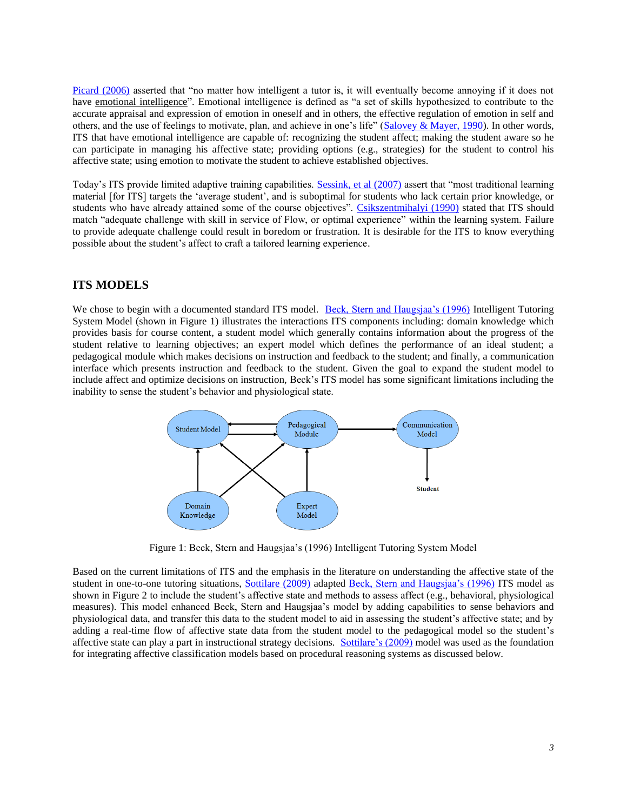[Picard \(2006\)](#page-13-4) asserted that "no matter how intelligent a tutor is, it will eventually become annoying if it does not have emotional intelligence". Emotional intelligence is defined as "a set of skills hypothesized to contribute to the accurate appraisal and expression of emotion in oneself and in others, the effective regulation of emotion in self and others, and the use of feelings to motivate, plan, and achieve in one's life" ( $Salovey & Mayer, 1990$ ). In other words, ITS that have emotional intelligence are capable of: recognizing the student affect; making the student aware so he can participate in managing his affective state; providing options (e.g., strategies) for the student to control his affective state; using emotion to motivate the student to achieve established objectives.

Today"s ITS provide limited adaptive training capabilities. [Sessink, et al \(2007\)](#page-13-6) assert that "most traditional learning material [for ITS] targets the "average student", and is suboptimal for students who lack certain prior knowledge, or students who have already attained some of the course objectives". [Csikszentmihalyi \(1990\)](#page-11-5) stated that ITS should match "adequate challenge with skill in service of Flow, or optimal experience" within the learning system. Failure to provide adequate challenge could result in boredom or frustration. It is desirable for the ITS to know everything possible about the student"s affect to craft a tailored learning experience.

# **ITS MODELS**

We chose to begin with a documented standard ITS model. Beck, Stern and Haugsjaa's (1996) Intelligent Tutoring System Model (shown in [Figure 1\)](#page-2-0) illustrates the interactions ITS components including: domain knowledge which provides basis for course content, a student model which generally contains information about the progress of the student relative to learning objectives; an expert model which defines the performance of an ideal student; a pedagogical module which makes decisions on instruction and feedback to the student; and finally, a communication interface which presents instruction and feedback to the student. Given the goal to expand the student model to include affect and optimize decisions on instruction, Beck"s ITS model has some significant limitations including the inability to sense the student"s behavior and physiological state.



Figure 1: Beck, Stern and Haugsjaa"s (1996) Intelligent Tutoring System Model

<span id="page-2-0"></span>Based on the current limitations of ITS and the emphasis in the literature on understanding the affective state of the student in one-to-one tutoring situations, [Sottilare \(2009\)](#page-13-0) adapted Beck, Stern and Haugsjaa's (1996) ITS model as shown in [Figure 2](#page-3-0) to include the student"s affective state and methods to assess affect (e.g., behavioral, physiological measures). This model enhanced Beck, Stern and Haugsjaa"s model by adding capabilities to sense behaviors and physiological data, and transfer this data to the student model to aid in assessing the student"s affective state; and by adding a real-time flow of affective state data from the student model to the pedagogical model so the student"s affective state can play a part in instructional strategy decisions. [Sottilare"s \(2009\)](#page-13-0) model was used as the foundation for integrating affective classification models based on procedural reasoning systems as discussed below.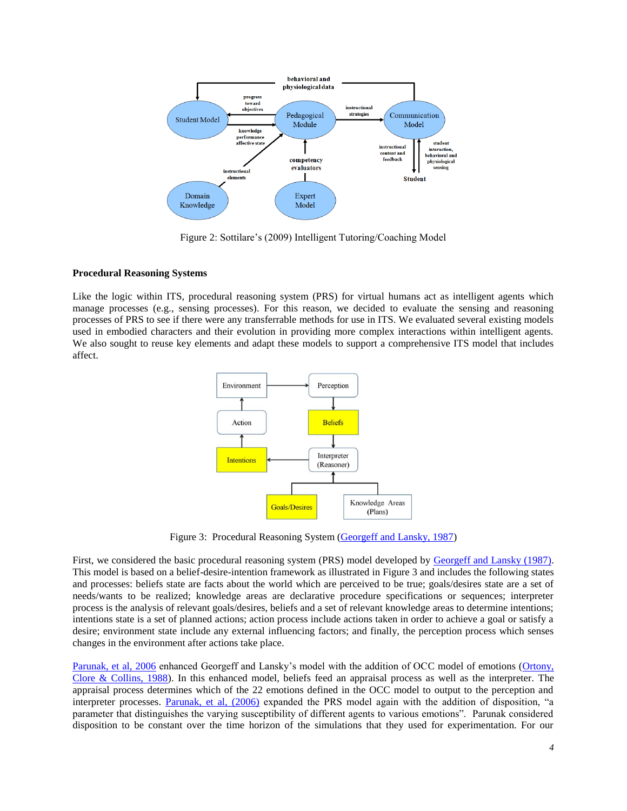

Figure 2: Sottilare"s (2009) Intelligent Tutoring/Coaching Model

### <span id="page-3-0"></span>**Procedural Reasoning Systems**

Like the logic within ITS, procedural reasoning system (PRS) for virtual humans act as intelligent agents which manage processes (e.g., sensing processes). For this reason, we decided to evaluate the sensing and reasoning processes of PRS to see if there were any transferrable methods for use in ITS. We evaluated several existing models used in embodied characters and their evolution in providing more complex interactions within intelligent agents. We also sought to reuse key elements and adapt these models to support a comprehensive ITS model that includes affect.



Figure 3: Procedural Reasoning System (Georgeff and Lansky, 1987)

<span id="page-3-1"></span>First, we considered the basic procedural reasoning system (PRS) model developed by [Georgeff and Lansky \(1987\).](#page-12-10) This model is based on a belief-desire-intention framework as illustrated in [Figure 3](#page-3-1) and includes the following states and processes: beliefs state are facts about the world which are perceived to be true; goals/desires state are a set of needs/wants to be realized; knowledge areas are declarative procedure specifications or sequences; interpreter process is the analysis of relevant goals/desires, beliefs and a set of relevant knowledge areas to determine intentions; intentions state is a set of planned actions; action process include actions taken in order to achieve a goal or satisfy a desire; environment state include any external influencing factors; and finally, the perception process which senses changes in the environment after actions take place.

[Parunak, et al, 2006](#page-13-7) enhanced Georgeff and Lansky"s model with the addition of OCC model of emotions [\(Ortony,](#page-13-8)  [Clore & Collins, 1988\)](#page-13-8). In this enhanced model, beliefs feed an appraisal process as well as the interpreter. The appraisal process determines which of the 22 emotions defined in the OCC model to output to the perception and interpreter processes. [Parunak, et al, \(2006\)](#page-13-7) expanded the PRS model again with the addition of disposition, "a parameter that distinguishes the varying susceptibility of different agents to various emotions". Parunak considered disposition to be constant over the time horizon of the simulations that they used for experimentation. For our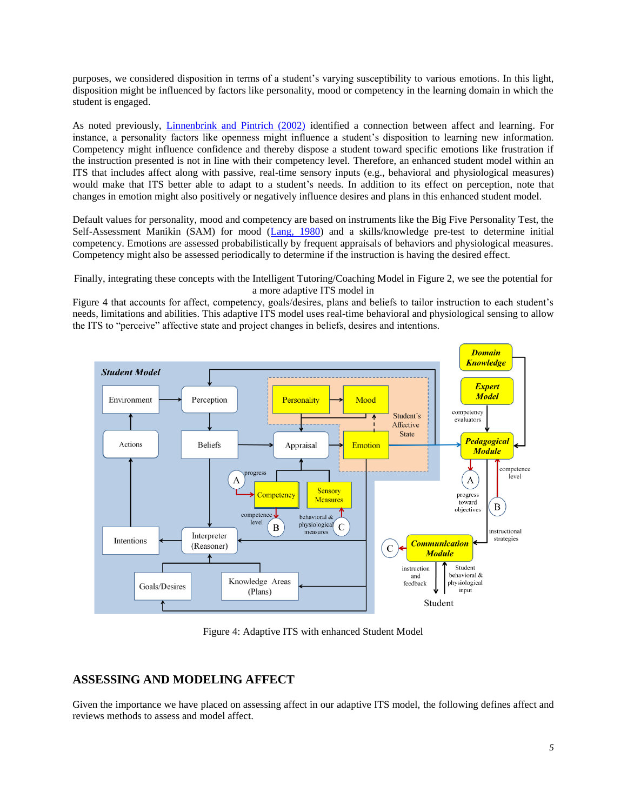purposes, we considered disposition in terms of a student"s varying susceptibility to various emotions. In this light, disposition might be influenced by factors like personality, mood or competency in the learning domain in which the student is engaged.

As noted previously, [Linnenbrink and Pintrich \(2002\)](#page-12-6) identified a connection between affect and learning. For instance, a personality factors like openness might influence a student"s disposition to learning new information. Competency might influence confidence and thereby dispose a student toward specific emotions like frustration if the instruction presented is not in line with their competency level. Therefore, an enhanced student model within an ITS that includes affect along with passive, real-time sensory inputs (e.g., behavioral and physiological measures) would make that ITS better able to adapt to a student's needs. In addition to its effect on perception, note that changes in emotion might also positively or negatively influence desires and plans in this enhanced student model.

Default values for personality, mood and competency are based on instruments like the Big Five Personality Test, the Self-Assessment Manikin (SAM) for mood [\(Lang, 1980\)](#page-12-11) and a skills/knowledge pre-test to determine initial competency. Emotions are assessed probabilistically by frequent appraisals of behaviors and physiological measures. Competency might also be assessed periodically to determine if the instruction is having the desired effect.

Finally, integrating these concepts with the Intelligent Tutoring/Coaching Model in [Figure 2,](#page-3-0) we see the potential for a more adaptive ITS model in

[Figure 4](#page-4-0) that accounts for affect, competency, goals/desires, plans and beliefs to tailor instruction to each student"s needs, limitations and abilities. This adaptive ITS model uses real-time behavioral and physiological sensing to allow the ITS to "perceive" affective state and project changes in beliefs, desires and intentions.



Figure 4: Adaptive ITS with enhanced Student Model

# <span id="page-4-0"></span>**ASSESSING AND MODELING AFFECT**

Given the importance we have placed on assessing affect in our adaptive ITS model, the following defines affect and reviews methods to assess and model affect.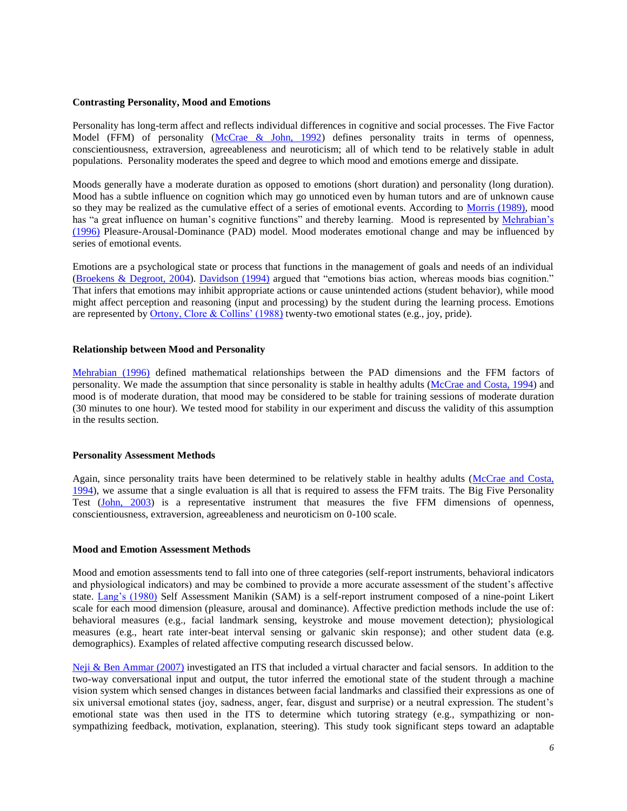### **Contrasting Personality, Mood and Emotions**

Personality has long-term affect and reflects individual differences in cognitive and social processes. The Five Factor Model (FFM) of personality [\(McCrae & John, 1992\)](#page-12-12) defines personality traits in terms of openness, conscientiousness, extraversion, agreeableness and neuroticism; all of which tend to be relatively stable in adult populations. Personality moderates the speed and degree to which mood and emotions emerge and dissipate.

Moods generally have a moderate duration as opposed to emotions (short duration) and personality (long duration). Mood has a subtle influence on cognition which may go unnoticed even by human tutors and are of unknown cause so they may be realized as the cumulative effect of a series of emotional events. According to [Morris \(1989\),](#page-13-9) mood has "a great influence on human's cognitive functions" and thereby learning. Mood is represented by Mehrabian's (1996) Pleasure-Arousal-Dominance (PAD) model. Mood moderates emotional change and may be influenced by series of emotional events.

Emotions are a psychological state or process that functions in the management of goals and needs of an individual [\(Broekens & Degroot, 2004\)](#page-11-6). [Davidson \(1994\)](#page-12-13) argued that "emotions bias action, whereas moods bias cognition." That infers that emotions may inhibit appropriate actions or cause unintended actions (student behavior), while mood might affect perception and reasoning (input and processing) by the student during the learning process. Emotions are represented b[y Ortony, Clore & Collins" \(1988\)](#page-13-8) twenty-two emotional states (e.g., joy, pride).

### **Relationship between Mood and Personality**

[Mehrabian \(1996\)](#page-12-14) defined mathematical relationships between the PAD dimensions and the FFM factors of personality. We made the assumption that since personality is stable in healthy adults [\(McCrae and Costa, 1994\)](#page-12-15) and mood is of moderate duration, that mood may be considered to be stable for training sessions of moderate duration (30 minutes to one hour). We tested mood for stability in our experiment and discuss the validity of this assumption in the results section.

#### **Personality Assessment Methods**

Again, since personality traits have been determined to be relatively stable in healthy adults [\(McCrae and Costa,](#page-12-15)  [1994\)](#page-12-15), we assume that a single evaluation is all that is required to assess the FFM traits. The Big Five Personality Test [\(John, 2003\)](#page-12-16) is a representative instrument that measures the five FFM dimensions of openness, conscientiousness, extraversion, agreeableness and neuroticism on 0-100 scale.

### **Mood and Emotion Assessment Methods**

Mood and emotion assessments tend to fall into one of three categories (self-report instruments, behavioral indicators and physiological indicators) and may be combined to provide a more accurate assessment of the student's affective state. Lang's (1980) Self Assessment Manikin (SAM) is a self-report instrument composed of a nine-point Likert scale for each mood dimension (pleasure, arousal and dominance). Affective prediction methods include the use of: behavioral measures (e.g., facial landmark sensing, keystroke and mouse movement detection); physiological measures (e.g., heart rate inter-beat interval sensing or galvanic skin response); and other student data (e.g. demographics). Examples of related affective computing research discussed below.

[Neji & Ben Ammar \(2007\)](#page-13-10) investigated an ITS that included a virtual character and facial sensors. In addition to the two-way conversational input and output, the tutor inferred the emotional state of the student through a machine vision system which sensed changes in distances between facial landmarks and classified their expressions as one of six universal emotional states (joy, sadness, anger, fear, disgust and surprise) or a neutral expression. The student"s emotional state was then used in the ITS to determine which tutoring strategy (e.g., sympathizing or nonsympathizing feedback, motivation, explanation, steering). This study took significant steps toward an adaptable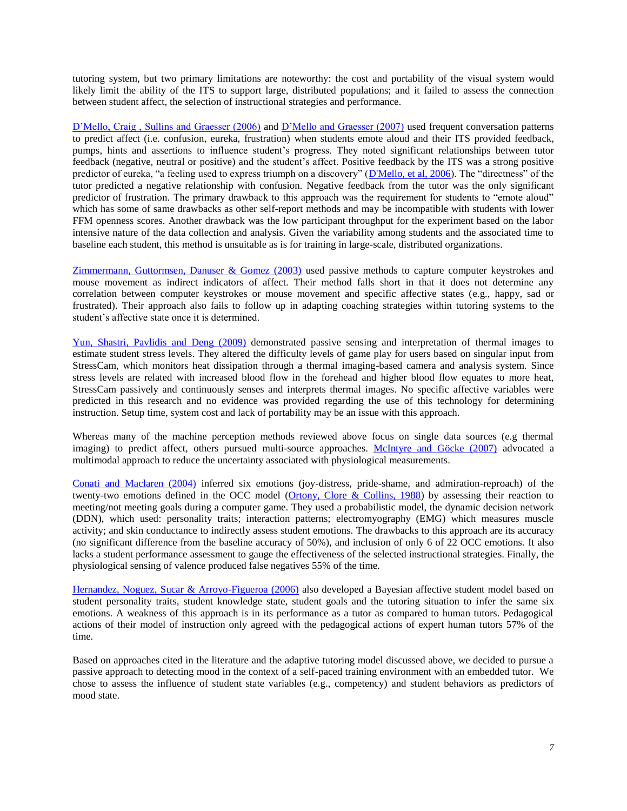tutoring system, but two primary limitations are noteworthy: the cost and portability of the visual system would likely limit the ability of the ITS to support large, distributed populations; and it failed to assess the connection between student affect, the selection of instructional strategies and performance.

D'Mello, Craig, Sullins and Graesser (2006) and D'Mello and Graesser (2007) used frequent conversation patterns to predict affect (i.e. confusion, eureka, frustration) when students emote aloud and their ITS provided feedback, pumps, hints and assertions to influence student"s progress. They noted significant relationships between tutor feedback (negative, neutral or positive) and the student"s affect. Positive feedback by the ITS was a strong positive predictor of eureka, "a feeling used to express triumph on a discovery" [\(D'Mello, et al, 2006\)](#page-12-17). The "directness" of the tutor predicted a negative relationship with confusion. Negative feedback from the tutor was the only significant predictor of frustration. The primary drawback to this approach was the requirement for students to "emote aloud" which has some of same drawbacks as other self-report methods and may be incompatible with students with lower FFM openness scores. Another drawback was the low participant throughput for the experiment based on the labor intensive nature of the data collection and analysis. Given the variability among students and the associated time to baseline each student, this method is unsuitable as is for training in large-scale, distributed organizations.

[Zimmermann, Guttormsen, Danuser & Gomez \(2003\)](#page-13-11) used passive methods to capture computer keystrokes and mouse movement as indirect indicators of affect. Their method falls short in that it does not determine any correlation between computer keystrokes or mouse movement and specific affective states (e.g., happy, sad or frustrated). Their approach also fails to follow up in adapting coaching strategies within tutoring systems to the student"s affective state once it is determined.

[Yun, Shastri, Pavlidis and Deng \(2009\)](#page-13-12) demonstrated passive sensing and interpretation of thermal images to estimate student stress levels. They altered the difficulty levels of game play for users based on singular input from StressCam, which monitors heat dissipation through a thermal imaging-based camera and analysis system. Since stress levels are related with increased blood flow in the forehead and higher blood flow equates to more heat, StressCam passively and continuously senses and interprets thermal images. No specific affective variables were predicted in this research and no evidence was provided regarding the use of this technology for determining instruction. Setup time, system cost and lack of portability may be an issue with this approach.

Whereas many of the machine perception methods reviewed above focus on single data sources (e.g thermal imaging) to predict affect, others pursued multi-source approaches. [McIntyre and Göcke \(2007\)](#page-12-19) advocated a multimodal approach to reduce the uncertainty associated with physiological measurements.

[Conati and Maclaren \(2004\)](#page-11-7) inferred six emotions (joy-distress, pride-shame, and admiration-reproach) of the twenty-two emotions defined in the OCC model [\(Ortony, Clore & Collins, 1988\)](#page-13-8) by assessing their reaction to meeting/not meeting goals during a computer game. They used a probabilistic model, the dynamic decision network (DDN), which used: personality traits; interaction patterns; electromyography (EMG) which measures muscle activity; and skin conductance to indirectly assess student emotions. The drawbacks to this approach are its accuracy (no significant difference from the baseline accuracy of 50%), and inclusion of only 6 of 22 OCC emotions. It also lacks a student performance assessment to gauge the effectiveness of the selected instructional strategies. Finally, the physiological sensing of valence produced false negatives 55% of the time.

[Hernandez, Noguez, Sucar & Arroyo-Figueroa \(2006\)](#page-12-1) also developed a Bayesian affective student model based on student personality traits, student knowledge state, student goals and the tutoring situation to infer the same six emotions. A weakness of this approach is in its performance as a tutor as compared to human tutors. Pedagogical actions of their model of instruction only agreed with the pedagogical actions of expert human tutors 57% of the time.

Based on approaches cited in the literature and the adaptive tutoring model discussed above, we decided to pursue a passive approach to detecting mood in the context of a self-paced training environment with an embedded tutor. We chose to assess the influence of student state variables (e.g., competency) and student behaviors as predictors of mood state.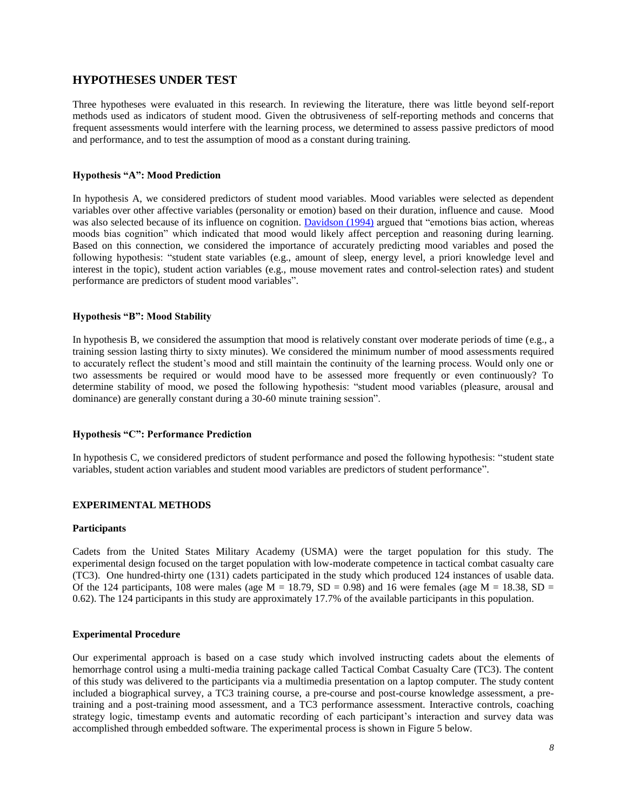## **HYPOTHESES UNDER TEST**

Three hypotheses were evaluated in this research. In reviewing the literature, there was little beyond self-report methods used as indicators of student mood. Given the obtrusiveness of self-reporting methods and concerns that frequent assessments would interfere with the learning process, we determined to assess passive predictors of mood and performance, and to test the assumption of mood as a constant during training.

### **Hypothesis "A": Mood Prediction**

In hypothesis A, we considered predictors of student mood variables. Mood variables were selected as dependent variables over other affective variables (personality or emotion) based on their duration, influence and cause. Mood was also selected because of its influence on cognition. [Davidson \(1994\)](#page-12-13) argued that "emotions bias action, whereas moods bias cognition" which indicated that mood would likely affect perception and reasoning during learning. Based on this connection, we considered the importance of accurately predicting mood variables and posed the following hypothesis: "student state variables (e.g., amount of sleep, energy level, a priori knowledge level and interest in the topic), student action variables (e.g., mouse movement rates and control-selection rates) and student performance are predictors of student mood variables".

### **Hypothesis "B": Mood Stability**

In hypothesis B, we considered the assumption that mood is relatively constant over moderate periods of time (e.g., a training session lasting thirty to sixty minutes). We considered the minimum number of mood assessments required to accurately reflect the student's mood and still maintain the continuity of the learning process. Would only one or two assessments be required or would mood have to be assessed more frequently or even continuously? To determine stability of mood, we posed the following hypothesis: "student mood variables (pleasure, arousal and dominance) are generally constant during a 30-60 minute training session".

### **Hypothesis "C": Performance Prediction**

In hypothesis C, we considered predictors of student performance and posed the following hypothesis: "student state variables, student action variables and student mood variables are predictors of student performance".

### **EXPERIMENTAL METHODS**

#### **Participants**

Cadets from the United States Military Academy (USMA) were the target population for this study. The experimental design focused on the target population with low-moderate competence in tactical combat casualty care (TC3). One hundred-thirty one (131) cadets participated in the study which produced 124 instances of usable data. Of the 124 participants, 108 were males (age  $M = 18.79$ ,  $SD = 0.98$ ) and 16 were females (age  $M = 18.38$ ,  $SD =$ 0.62). The 124 participants in this study are approximately 17.7% of the available participants in this population.

### **Experimental Procedure**

Our experimental approach is based on a case study which involved instructing cadets about the elements of hemorrhage control using a multi-media training package called Tactical Combat Casualty Care (TC3). The content of this study was delivered to the participants via a multimedia presentation on a laptop computer. The study content included a biographical survey, a TC3 training course, a pre-course and post-course knowledge assessment, a pretraining and a post-training mood assessment, and a TC3 performance assessment. Interactive controls, coaching strategy logic, timestamp events and automatic recording of each participant"s interaction and survey data was accomplished through embedded software. The experimental process is shown in [Figure 5](#page-8-0) below.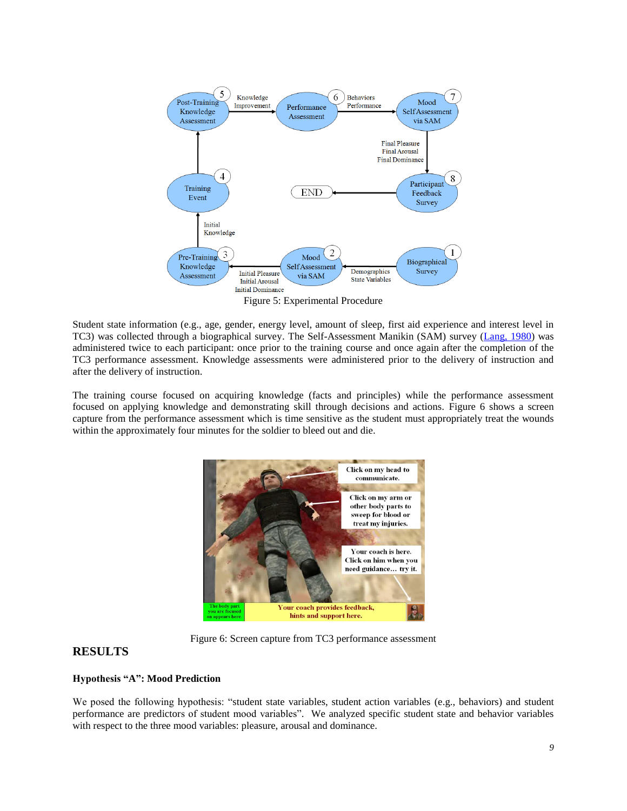

<span id="page-8-0"></span>Student state information (e.g., age, gender, energy level, amount of sleep, first aid experience and interest level in TC3) was collected through a biographical survey. The Self-Assessment Manikin (SAM) survey [\(Lang, 1980\)](#page-12-11) was administered twice to each participant: once prior to the training course and once again after the completion of the TC3 performance assessment. Knowledge assessments were administered prior to the delivery of instruction and after the delivery of instruction.

The training course focused on acquiring knowledge (facts and principles) while the performance assessment focused on applying knowledge and demonstrating skill through decisions and actions. [Figure 6](#page-8-1) shows a screen capture from the performance assessment which is time sensitive as the student must appropriately treat the wounds within the approximately four minutes for the soldier to bleed out and die.



Figure 6: Screen capture from TC3 performance assessment

# <span id="page-8-1"></span>**RESULTS**

# **Hypothesis "A": Mood Prediction**

We posed the following hypothesis: "student state variables, student action variables (e.g., behaviors) and student performance are predictors of student mood variables". We analyzed specific student state and behavior variables with respect to the three mood variables: pleasure, arousal and dominance.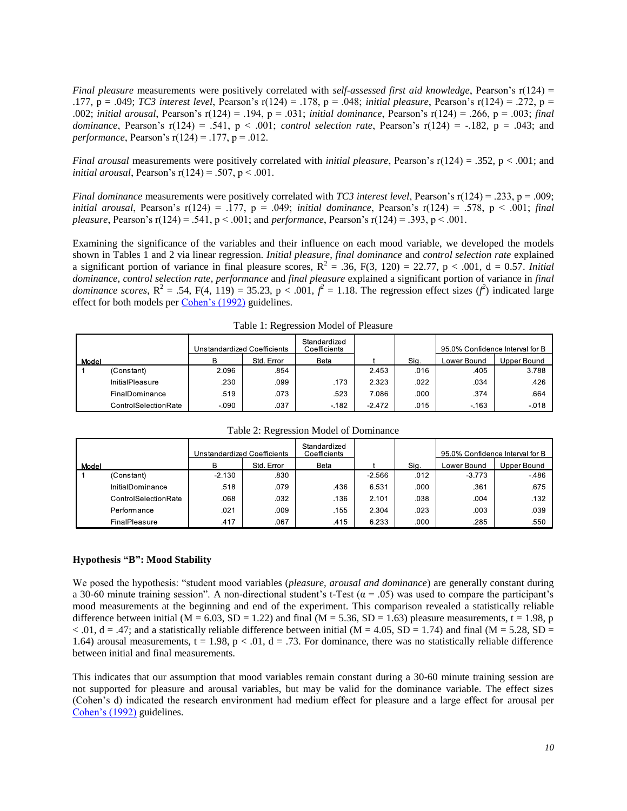*Final pleasure* measurements were positively correlated with *self-assessed first aid knowledge*, Pearson's r(124) = .177, p = .049; *TC3 interest level*, Pearson"s r(124) = .178, p = .048; *initial pleasure*, Pearson"s r(124) = .272, p = .002; *initial arousal*, Pearson"s r(124) = .194, p = .031; *initial dominance*, Pearson"s r(124) = .266, p = .003; *final dominance*, Pearson's  $r(124) = .541$ ,  $p < .001$ ; *control selection rate*, Pearson's  $r(124) = -.182$ ,  $p = .043$ ; and *performance*, Pearson's  $r(124) = .177$ ,  $p = .012$ .

*Final arousal* measurements were positively correlated with *initial pleasure*, Pearson's r(124) = .352, p < .001; and *initial arousal*, Pearson's  $r(124) = .507$ ,  $p < .001$ .

*Final dominance* measurements were positively correlated with *TC3 interest level*, Pearson's r(124) = .233, p = .009; *initial arousal*, Pearson's r(124) = .177, p = .049; *initial dominance*, Pearson's r(124) = .578, p < .001; *final pleasure*, Pearson"s r(124) = .541, p < .001; and *performance*, Pearson"s r(124) = .393, p < .001.

Examining the significance of the variables and their influence on each mood variable, we developed the models shown in Tables 1 and 2 via linear regression. *Initial pleasure*, *final dominance* and *control selection rate* explained a significant portion of variance in final pleasure scores,  $R^2 = .36$ ,  $F(3, 120) = 22.77$ ,  $p < .001$ ,  $d = 0.57$ . *Initial dominance*, *control selection rate*, *performance* and *final pleasure* explained a significant portion of variance in *final dominance scores*,  $R^2 = .54$ ,  $F(4, 119) = 35.23$ ,  $p < .001$ ,  $f^2 = 1.18$ . The regression effect sizes  $(f^2)$  indicated large effect for both models per [Cohen"s \(1992\)](#page-11-8) guidelines.

| ~     |                      |                             |            |                              |          |      |                                 |             |
|-------|----------------------|-----------------------------|------------|------------------------------|----------|------|---------------------------------|-------------|
|       |                      | Unstandardized Coefficients |            | Standardized<br>Coefficients |          |      | 95.0% Confidence Interval for B |             |
| Model |                      | в                           | Std. Error | Beta                         |          | Sig. | Lower Bound                     | Upper Bound |
|       | (Constant)           | 2.096                       | .854       |                              | 2.453    | .016 | .405                            | 3.788       |
|       | InitialPleasure      | .230                        | .099       | .173                         | 2.323    | .022 | .034                            | .426        |
|       | FinalDominance       | .519                        | .073       | .523                         | 7.086    | .000 | .374                            | .664        |
|       | ControlSelectionRate | $-0.90$                     | .037       | $-182$                       | $-2.472$ | .015 | $-163$                          | $-0.18$     |

Table 1: Regression Model of Pleasure

|       |                      | Unstandardized Coefficients |            | Standardized<br>Coefficients |          |      | 95.0% Confidence Interval for B |             |
|-------|----------------------|-----------------------------|------------|------------------------------|----------|------|---------------------------------|-------------|
| Model |                      | в                           | Std. Error | <b>Beta</b>                  |          | Sig. | Lower Bound                     | Upper Bound |
|       | (Constant)           | $-2.130$                    | .830       |                              | $-2.566$ | .012 | $-3.773$                        | $-486$      |
|       | InitialDominance     | .518                        | .079       | .436                         | 6.531    | .000 | .361                            | .675        |
|       | ControlSelectionRate | 860.                        | .032       | .136                         | 2.101    | .038 | .004                            | .132        |
|       | Performance          | .021                        | .009       | .155                         | 2.304    | .023 | .003                            | .039        |
|       | FinalPleasure        | .417                        | .067       | .415                         | 6.233    | .000 | .285                            | .550        |

Table 2: Regression Model of Dominance

#### **Hypothesis "B": Mood Stability**

We posed the hypothesis: "student mood variables (*pleasure, arousal and dominance*) are generally constant during a 30-60 minute training session". A non-directional student's t-Test ( $\alpha$  = .05) was used to compare the participant's mood measurements at the beginning and end of the experiment. This comparison revealed a statistically reliable difference between initial ( $M = 6.03$ ,  $SD = 1.22$ ) and final ( $M = 5.36$ ,  $SD = 1.63$ ) pleasure measurements, t = 1.98, p  $< .01$ , d = .47; and a statistically reliable difference between initial (M = 4.05, SD = 1.74) and final (M = 5.28, SD = 1.64) arousal measurements,  $t = 1.98$ ,  $p < .01$ ,  $d = .73$ . For dominance, there was no statistically reliable difference between initial and final measurements.

This indicates that our assumption that mood variables remain constant during a 30-60 minute training session are not supported for pleasure and arousal variables, but may be valid for the dominance variable. The effect sizes (Cohen"s d) indicated the research environment had medium effect for pleasure and a large effect for arousal per Cohen's (1992) guidelines.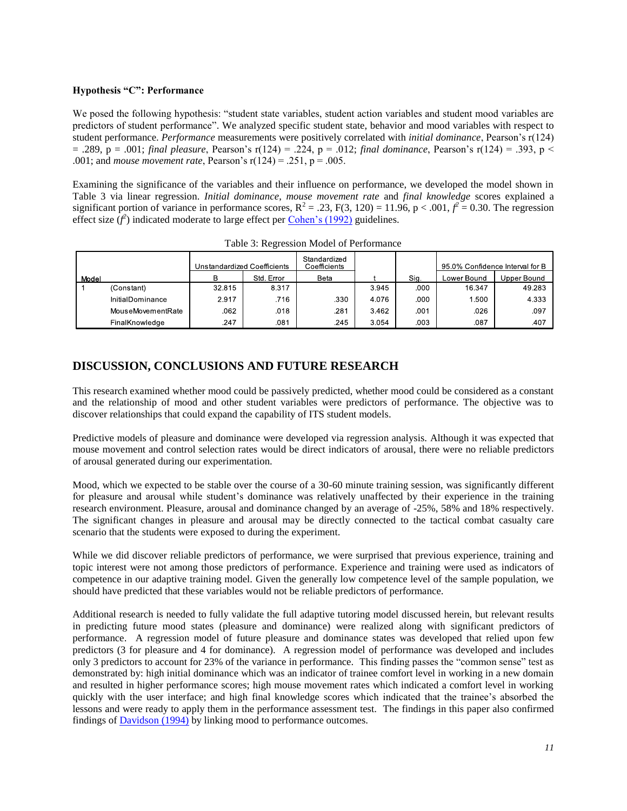### **Hypothesis "C": Performance**

We posed the following hypothesis: "student state variables, student action variables and student mood variables are predictors of student performance". We analyzed specific student state, behavior and mood variables with respect to student performance. *Performance* measurements were positively correlated with *initial dominance*, Pearson"s r(124)  $= .289$ , p = .001; *final pleasure*, Pearson's r(124) = .224, p = .012; *final dominance*, Pearson's r(124) = .393, p < .001; and *mouse movement rate*, Pearson"s r(124) = .251, p = .005.

Examining the significance of the variables and their influence on performance, we developed the model shown in [Table 3](#page-10-0) via linear regression. *Initial dominance*, *mouse movement rate* and *final knowledge* scores explained a significant portion of variance in performance scores,  $R^2 = .23$ ,  $F(3, 120) = 11.96$ ,  $p < .001$ ,  $f^2 = 0.30$ . The regression effect size  $(f^2)$  indicated moderate to large effect per *Cohen's (1992)* guidelines.

<span id="page-10-0"></span>

|       | Unstandardized Coefficients |        | Standardized<br>Coefficients |      |       | 95.0% Confidence Interval for B |             |             |
|-------|-----------------------------|--------|------------------------------|------|-------|---------------------------------|-------------|-------------|
| Model |                             | R      | Std. Error                   | Beta |       | Sig.                            | Lower Bound | Upper Bound |
|       | (Constant)                  | 32.815 | 8.317                        |      | 3.945 | .000                            | 16.347      | 49.283      |
|       | InitialDominance            | 2.917  | .716                         | .330 | 4.076 | .000                            | 1.500       | 4.333       |
|       | MouseMovementRate           | .062   | .018                         | .281 | 3.462 | .001                            | .026        | .097        |
|       | FinalKnowledge              | 247    | .081                         | 245  | 3.054 | .003                            | 087         | .407        |

Table 3: Regression Model of Performance

# **DISCUSSION, CONCLUSIONS AND FUTURE RESEARCH**

This research examined whether mood could be passively predicted, whether mood could be considered as a constant and the relationship of mood and other student variables were predictors of performance. The objective was to discover relationships that could expand the capability of ITS student models.

Predictive models of pleasure and dominance were developed via regression analysis. Although it was expected that mouse movement and control selection rates would be direct indicators of arousal, there were no reliable predictors of arousal generated during our experimentation.

Mood, which we expected to be stable over the course of a 30-60 minute training session, was significantly different for pleasure and arousal while student's dominance was relatively unaffected by their experience in the training research environment. Pleasure, arousal and dominance changed by an average of -25%, 58% and 18% respectively. The significant changes in pleasure and arousal may be directly connected to the tactical combat casualty care scenario that the students were exposed to during the experiment.

While we did discover reliable predictors of performance, we were surprised that previous experience, training and topic interest were not among those predictors of performance. Experience and training were used as indicators of competence in our adaptive training model. Given the generally low competence level of the sample population, we should have predicted that these variables would not be reliable predictors of performance.

Additional research is needed to fully validate the full adaptive tutoring model discussed herein, but relevant results in predicting future mood states (pleasure and dominance) were realized along with significant predictors of performance. A regression model of future pleasure and dominance states was developed that relied upon few predictors (3 for pleasure and 4 for dominance). A regression model of performance was developed and includes only 3 predictors to account for 23% of the variance in performance. This finding passes the "common sense" test as demonstrated by: high initial dominance which was an indicator of trainee comfort level in working in a new domain and resulted in higher performance scores; high mouse movement rates which indicated a comfort level in working quickly with the user interface; and high final knowledge scores which indicated that the trainee"s absorbed the lessons and were ready to apply them in the performance assessment test. The findings in this paper also confirmed findings of [Davidson \(1994\)](#page-12-13) by linking mood to performance outcomes.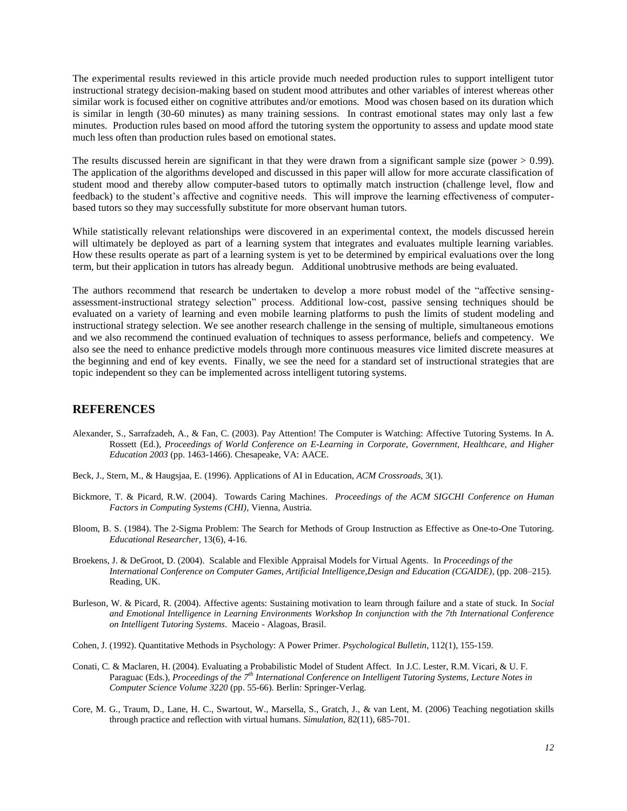The experimental results reviewed in this article provide much needed production rules to support intelligent tutor instructional strategy decision-making based on student mood attributes and other variables of interest whereas other similar work is focused either on cognitive attributes and/or emotions. Mood was chosen based on its duration which is similar in length (30-60 minutes) as many training sessions. In contrast emotional states may only last a few minutes. Production rules based on mood afford the tutoring system the opportunity to assess and update mood state much less often than production rules based on emotional states.

The results discussed herein are significant in that they were drawn from a significant sample size (power  $> 0.99$ ). The application of the algorithms developed and discussed in this paper will allow for more accurate classification of student mood and thereby allow computer-based tutors to optimally match instruction (challenge level, flow and feedback) to the student"s affective and cognitive needs. This will improve the learning effectiveness of computerbased tutors so they may successfully substitute for more observant human tutors.

While statistically relevant relationships were discovered in an experimental context, the models discussed herein will ultimately be deployed as part of a learning system that integrates and evaluates multiple learning variables. How these results operate as part of a learning system is yet to be determined by empirical evaluations over the long term, but their application in tutors has already begun. Additional unobtrusive methods are being evaluated.

The authors recommend that research be undertaken to develop a more robust model of the "affective sensingassessment-instructional strategy selection" process. Additional low-cost, passive sensing techniques should be evaluated on a variety of learning and even mobile learning platforms to push the limits of student modeling and instructional strategy selection. We see another research challenge in the sensing of multiple, simultaneous emotions and we also recommend the continued evaluation of techniques to assess performance, beliefs and competency. We also see the need to enhance predictive models through more continuous measures vice limited discrete measures at the beginning and end of key events. Finally, we see the need for a standard set of instructional strategies that are topic independent so they can be implemented across intelligent tutoring systems.

# **REFERENCES**

- <span id="page-11-4"></span>Alexander, S., Sarrafzadeh, A., & Fan, C. (2003). Pay Attention! The Computer is Watching: Affective Tutoring Systems. In A. Rossett (Ed.), *Proceedings of World Conference on E-Learning in Corporate, Government, Healthcare, and Higher Education 2003* (pp. 1463-1466). Chesapeake, VA: AACE.
- <span id="page-11-2"></span>Beck, J., Stern, M., & Haugsjaa, E. (1996). Applications of AI in Education, *ACM Crossroads*, 3(1).
- Bickmore, T. & Picard, R.W. (2004). Towards Caring Machines. *Proceedings of the ACM SIGCHI Conference on Human Factors in Computing Systems (CHI)*, Vienna, Austria.
- <span id="page-11-0"></span>Bloom, B. S. (1984). The 2-Sigma Problem: The Search for Methods of Group Instruction as Effective as One-to-One Tutoring. *Educational Researcher,* 13(6), 4-16.
- <span id="page-11-6"></span>Broekens, J. & DeGroot, D. (2004). Scalable and Flexible Appraisal Models for Virtual Agents. In *Proceedings of the International Conference on Computer Games, Artificial Intelligence,Design and Education (CGAIDE)*, (pp. 208–215). Reading, UK.
- <span id="page-11-3"></span>Burleson, W. & Picard, R. (2004). Affective agents: Sustaining motivation to learn through failure and a state of stuck. In *Social and Emotional Intelligence in Learning Environments Workshop In conjunction with the 7th International Conference on Intelligent Tutoring Systems*. Maceio - Alagoas, Brasil.
- <span id="page-11-8"></span><span id="page-11-7"></span>Cohen, J. (1992). Quantitative Methods in Psychology: A Power Primer. *Psychological Bulletin*, 112(1), 155-159.
- Conati, C. & Maclaren, H. (2004). Evaluating a Probabilistic Model of Student Affect. In J.C. Lester, R.M. Vicari, & U. F. Paraguac (Eds.), *Proceedings of the 7th International Conference on Intelligent Tutoring Systems, Lecture Notes in Computer Science Volume 3220* (pp. 55-66). Berlin: Springer-Verlag.
- <span id="page-11-5"></span><span id="page-11-1"></span>Core, M. G., Traum, D., Lane, H. C., Swartout, W., Marsella, S., Gratch, J., & van Lent, M. (2006) Teaching negotiation skills through practice and reflection with virtual humans. *Simulation,* 82(11), 685-701.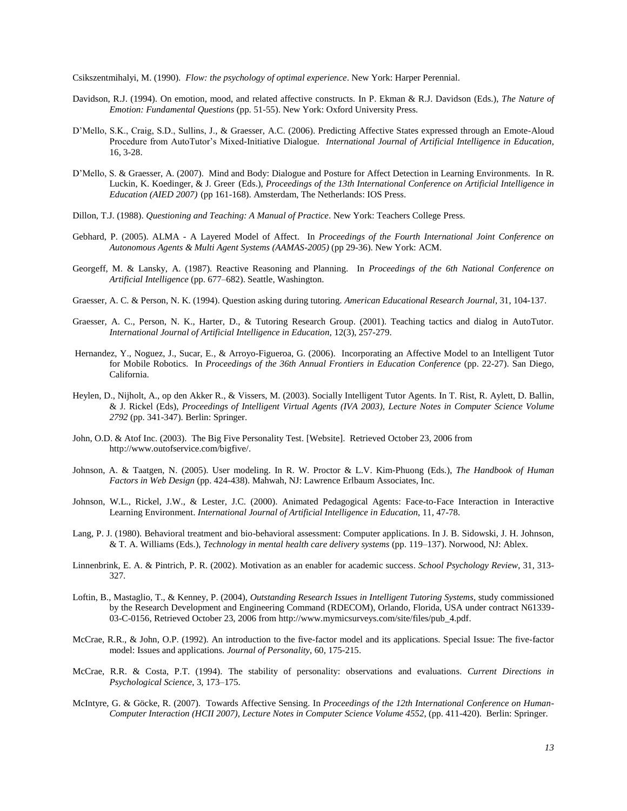Csikszentmihalyi, M. (1990). *Flow: the psychology of optimal experience*. New York: Harper Perennial.

- <span id="page-12-13"></span>Davidson, R.J. (1994). On emotion, mood, and related affective constructs. In P. Ekman & R.J. Davidson (Eds.), *The Nature of Emotion: Fundamental Questions* (pp. 51-55). New York: Oxford University Press.
- <span id="page-12-17"></span>D"Mello, S.K., Craig, S.D., Sullins, J., & Graesser, A.C. (2006). Predicting Affective States expressed through an Emote-Aloud Procedure from AutoTutor"s Mixed-Initiative Dialogue. *International Journal of Artificial Intelligence in Education*, 16, 3-28.
- <span id="page-12-18"></span>D"Mello, S. & Graesser, A. (2007). Mind and Body: Dialogue and Posture for Affect Detection in Learning Environments. In R. Luckin, K. Koedinger, & J. Greer (Eds.), *Proceedings of the 13th International Conference on Artificial Intelligence in Education (AIED 2007)* (pp 161-168). Amsterdam, The Netherlands: IOS Press.
- <span id="page-12-7"></span><span id="page-12-3"></span>Dillon, T.J. (1988). *Questioning and Teaching: A Manual of Practice*. New York: Teachers College Press.
- Gebhard, P. (2005). ALMA A Layered Model of Affect. In *Proceedings of the Fourth International Joint Conference on Autonomous Agents & Multi Agent Systems (AAMAS-2005)* (pp 29-36). New York: ACM.
- <span id="page-12-10"></span>Georgeff, M. & Lansky, A. (1987). Reactive Reasoning and Planning. In *Proceedings of the 6th National Conference on Artificial Intelligence* (pp. 677–682). Seattle, Washington.
- <span id="page-12-4"></span>Graesser, A. C. & Person, N. K. (1994). Question asking during tutoring. *American Educational Research Journal*, 31, 104-137.
- <span id="page-12-8"></span>Graesser, A. C., Person, N. K., Harter, D., & Tutoring Research Group. (2001). Teaching tactics and dialog in AutoTutor. *International Journal of Artificial Intelligence in Education,* 12(3), 257-279.
- <span id="page-12-1"></span>Hernandez, Y., Noguez, J., Sucar, E., & Arroyo-Figueroa, G. (2006). Incorporating an Affective Model to an Intelligent Tutor for Mobile Robotics. In *Proceedings of the 36th Annual Frontiers in Education Conference* (pp. 22-27). San Diego, California.
- <span id="page-12-0"></span>Heylen, D., Nijholt, A., op den Akker R., & Vissers, M. (2003). Socially Intelligent Tutor Agents. In T. Rist, R. Aylett, D. Ballin, & J. Rickel (Eds), *Proceedings of Intelligent Virtual Agents (IVA 2003), Lecture Notes in Computer Science Volume 2792* (pp. 341-347). Berlin: Springer.
- <span id="page-12-16"></span>John, O.D. & Atof Inc. (2003). The Big Five Personality Test. [Website]. Retrieved October 23, 2006 from http://www.outofservice.com/bigfive/.
- <span id="page-12-9"></span><span id="page-12-2"></span>Johnson, A. & Taatgen, N. (2005). User modeling. In R. W. Proctor & L.V. Kim-Phuong (Eds.), *The Handbook of Human Factors in Web Design* (pp. 424-438). Mahwah, NJ: Lawrence Erlbaum Associates, Inc.
- Johnson, W.L., Rickel, J.W., & Lester, J.C. (2000). Animated Pedagogical Agents: Face-to-Face Interaction in Interactive Learning Environment. *International Journal of Artificial Intelligence in Education*, 11, 47-78.
- <span id="page-12-11"></span>Lang, P. J. (1980). Behavioral treatment and bio-behavioral assessment: Computer applications. In J. B. Sidowski, J. H. Johnson, & T. A. Williams (Eds.), *Technology in mental health care delivery systems* (pp. 119–137). Norwood, NJ: Ablex.
- <span id="page-12-6"></span>Linnenbrink, E. A. & Pintrich, P. R. (2002). Motivation as an enabler for academic success. *School Psychology Review*, 31, 313- 327.
- <span id="page-12-5"></span>Loftin, B., Mastaglio, T., & Kenney, P. (2004), *Outstanding Research Issues in Intelligent Tutoring Systems*, study commissioned by the Research Development and Engineering Command (RDECOM), Orlando, Florida, USA under contract N61339- 03-C-0156, Retrieved October 23, 2006 from http://www.mymicsurveys.com/site/files/pub\_4.pdf.
- <span id="page-12-12"></span>McCrae, R.R., & John, O.P. (1992). An introduction to the five-factor model and its applications. Special Issue: The five-factor model: Issues and applications. *Journal of Personality*, 60, 175-215.
- <span id="page-12-15"></span>McCrae, R.R. & Costa, P.T. (1994). The stability of personality: observations and evaluations. *Current Directions in Psychological Science*, 3, 173–175.
- <span id="page-12-19"></span><span id="page-12-14"></span>McIntyre, G. & Göcke, R. (2007). Towards Affective Sensing. In *Proceedings of the 12th International Conference on Human-Computer Interaction (HCII 2007), Lecture Notes in Computer Science Volume 4552*, (pp. 411-420). Berlin: Springer.